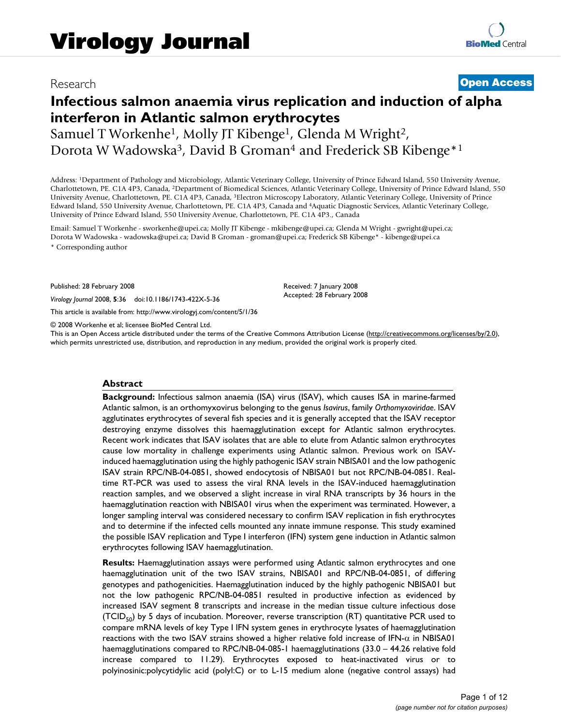# Research **[Open Access](http://www.biomedcentral.com/info/about/charter/)**

# **Infectious salmon anaemia virus replication and induction of alpha interferon in Atlantic salmon erythrocytes**

Samuel T Workenhe<sup>1</sup>, Molly JT Kibenge<sup>1</sup>, Glenda M Wright<sup>2</sup>, Dorota W Wadowska<sup>3</sup>, David B Groman<sup>4</sup> and Frederick SB Kibenge<sup>\*1</sup>

Address: 1Department of Pathology and Microbiology, Atlantic Veterinary College, University of Prince Edward Island, 550 University Avenue, Charlottetown, PE. C1A 4P3, Canada, 2Department of Biomedical Sciences, Atlantic Veterinary College, University of Prince Edward Island, 550 University Avenue, Charlottetown, PE. C1A 4P3, Canada, 3Electron Microscopy Laboratory, Atlantic Veterinary College, University of Prince Edward Island, 550 University Avenue, Charlottetown, PE. C1A 4P3, Canada and 4Aquatic Diagnostic Services, Atlantic Veterinary College, University of Prince Edward Island, 550 University Avenue, Charlottetown, PE. C1A 4P3., Canada

Email: Samuel T Workenhe - sworkenhe@upei.ca; Molly JT Kibenge - mkibenge@upei.ca; Glenda M Wright - gwright@upei.ca; Dorota W Wadowska - wadowska@upei.ca; David B Groman - groman@upei.ca; Frederick SB Kibenge\* - kibenge@upei.ca

\* Corresponding author

Published: 28 February 2008

*Virology Journal* 2008, **5**:36 doi:10.1186/1743-422X-5-36

[This article is available from: http://www.virologyj.com/content/5/1/36](http://www.virologyj.com/content/5/1/36)

© 2008 Workenhe et al; licensee BioMed Central Ltd.

This is an Open Access article distributed under the terms of the Creative Commons Attribution License [\(http://creativecommons.org/licenses/by/2.0\)](http://creativecommons.org/licenses/by/2.0), which permits unrestricted use, distribution, and reproduction in any medium, provided the original work is properly cited.

Received: 7 January 2008 Accepted: 28 February 2008

#### **Abstract**

**Background:** Infectious salmon anaemia (ISA) virus (ISAV), which causes ISA in marine-farmed Atlantic salmon, is an orthomyxovirus belonging to the genus *Isavirus*, family *Orthomyxoviridae*. ISAV agglutinates erythrocytes of several fish species and it is generally accepted that the ISAV receptor destroying enzyme dissolves this haemagglutination except for Atlantic salmon erythrocytes. Recent work indicates that ISAV isolates that are able to elute from Atlantic salmon erythrocytes cause low mortality in challenge experiments using Atlantic salmon. Previous work on ISAVinduced haemagglutination using the highly pathogenic ISAV strain NBISA01 and the low pathogenic ISAV strain RPC/NB-04-0851, showed endocytosis of NBISA01 but not RPC/NB-04-0851. Realtime RT-PCR was used to assess the viral RNA levels in the ISAV-induced haemagglutination reaction samples, and we observed a slight increase in viral RNA transcripts by 36 hours in the haemagglutination reaction with NBISA01 virus when the experiment was terminated. However, a longer sampling interval was considered necessary to confirm ISAV replication in fish erythrocytes and to determine if the infected cells mounted any innate immune response. This study examined the possible ISAV replication and Type I interferon (IFN) system gene induction in Atlantic salmon erythrocytes following ISAV haemagglutination.

**Results:** Haemagglutination assays were performed using Atlantic salmon erythrocytes and one haemagglutination unit of the two ISAV strains, NBISA01 and RPC/NB-04-0851, of differing genotypes and pathogenicities. Haemagglutination induced by the highly pathogenic NBISA01 but not the low pathogenic RPC/NB-04-0851 resulted in productive infection as evidenced by increased ISAV segment 8 transcripts and increase in the median tissue culture infectious dose  $(TCID<sub>50</sub>)$  by 5 days of incubation. Moreover, reverse transcription (RT) quantitative PCR used to compare mRNA levels of key Type I IFN system genes in erythrocyte lysates of haemagglutination reactions with the two ISAV strains showed a higher relative fold increase of IFN-α in NBISA01 haemagglutinations compared to RPC/NB-04-085-1 haemagglutinations (33.0 – 44.26 relative fold increase compared to 11.29). Erythrocytes exposed to heat-inactivated virus or to polyinosinic:polycytidylic acid (polyI:C) or to L-15 medium alone (negative control assays) had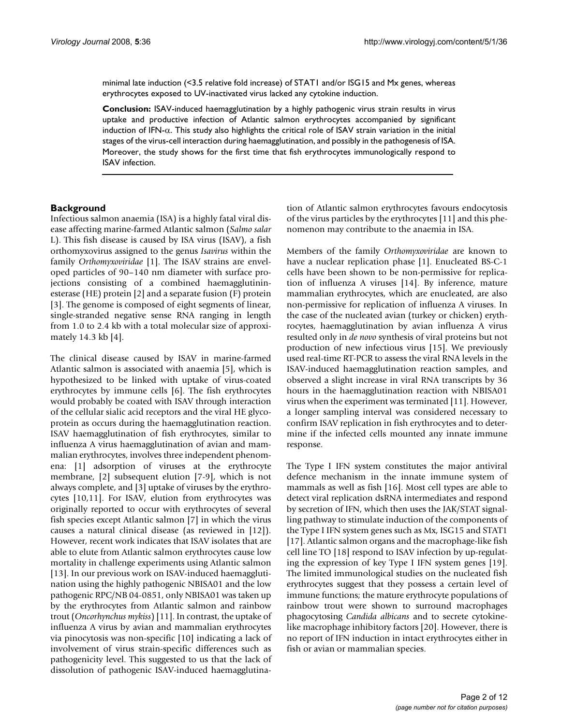minimal late induction (<3.5 relative fold increase) of STAT1 and/or ISG15 and Mx genes, whereas erythrocytes exposed to UV-inactivated virus lacked any cytokine induction.

**Conclusion:** ISAV-induced haemagglutination by a highly pathogenic virus strain results in virus uptake and productive infection of Atlantic salmon erythrocytes accompanied by significant induction of IFN- $\alpha$ . This study also highlights the critical role of ISAV strain variation in the initial stages of the virus-cell interaction during haemagglutination, and possibly in the pathogenesis of ISA. Moreover, the study shows for the first time that fish erythrocytes immunologically respond to ISAV infection.

# **Background**

Infectious salmon anaemia (ISA) is a highly fatal viral disease affecting marine-farmed Atlantic salmon (*Salmo salar* L). This fish disease is caused by ISA virus (ISAV), a fish orthomyxovirus assigned to the genus *Isavirus* within the family *Orthomyxoviridae* [1]. The ISAV strains are enveloped particles of 90–140 nm diameter with surface projections consisting of a combined haemagglutininesterase (HE) protein [2] and a separate fusion (F) protein [3]. The genome is composed of eight segments of linear, single-stranded negative sense RNA ranging in length from 1.0 to 2.4 kb with a total molecular size of approximately 14.3 kb [4].

The clinical disease caused by ISAV in marine-farmed Atlantic salmon is associated with anaemia [5], which is hypothesized to be linked with uptake of virus-coated erythrocytes by immune cells [6]. The fish erythrocytes would probably be coated with ISAV through interaction of the cellular sialic acid receptors and the viral HE glycoprotein as occurs during the haemagglutination reaction. ISAV haemagglutination of fish erythrocytes, similar to influenza A virus haemagglutination of avian and mammalian erythrocytes, involves three independent phenomena: [1] adsorption of viruses at the erythrocyte membrane, [2] subsequent elution [7-9], which is not always complete, and [3] uptake of viruses by the erythrocytes [10,11]. For ISAV, elution from erythrocytes was originally reported to occur with erythrocytes of several fish species except Atlantic salmon [7] in which the virus causes a natural clinical disease (as reviewed in [12]). However, recent work indicates that ISAV isolates that are able to elute from Atlantic salmon erythrocytes cause low mortality in challenge experiments using Atlantic salmon [13]. In our previous work on ISAV-induced haemagglutination using the highly pathogenic NBISA01 and the low pathogenic RPC/NB 04-0851, only NBISA01 was taken up by the erythrocytes from Atlantic salmon and rainbow trout (*Oncorhynchus mykiss*) [11]. In contrast, the uptake of influenza A virus by avian and mammalian erythrocytes via pinocytosis was non-specific [10] indicating a lack of involvement of virus strain-specific differences such as pathogenicity level. This suggested to us that the lack of dissolution of pathogenic ISAV-induced haemagglutination of Atlantic salmon erythrocytes favours endocytosis of the virus particles by the erythrocytes [11] and this phenomenon may contribute to the anaemia in ISA.

Members of the family *Orthomyxoviridae* are known to have a nuclear replication phase [1]. Enucleated BS-C-1 cells have been shown to be non-permissive for replication of influenza A viruses [14]. By inference, mature mammalian erythrocytes, which are enucleated, are also non-permissive for replication of influenza A viruses. In the case of the nucleated avian (turkey or chicken) erythrocytes, haemagglutination by avian influenza A virus resulted only in *de novo* synthesis of viral proteins but not production of new infectious virus [15]. We previously used real-time RT-PCR to assess the viral RNA levels in the ISAV-induced haemagglutination reaction samples, and observed a slight increase in viral RNA transcripts by 36 hours in the haemagglutination reaction with NBISA01 virus when the experiment was terminated [11]. However, a longer sampling interval was considered necessary to confirm ISAV replication in fish erythrocytes and to determine if the infected cells mounted any innate immune response.

The Type I IFN system constitutes the major antiviral defence mechanism in the innate immune system of mammals as well as fish [16]. Most cell types are able to detect viral replication dsRNA intermediates and respond by secretion of IFN, which then uses the JAK/STAT signalling pathway to stimulate induction of the components of the Type I IFN system genes such as Mx, ISG15 and STAT1 [17]. Atlantic salmon organs and the macrophage-like fish cell line TO [18] respond to ISAV infection by up-regulating the expression of key Type I IFN system genes [19]. The limited immunological studies on the nucleated fish erythrocytes suggest that they possess a certain level of immune functions; the mature erythrocyte populations of rainbow trout were shown to surround macrophages phagocytosing *Candida albicans* and to secrete cytokinelike macrophage inhibitory factors [20]. However, there is no report of IFN induction in intact erythrocytes either in fish or avian or mammalian species.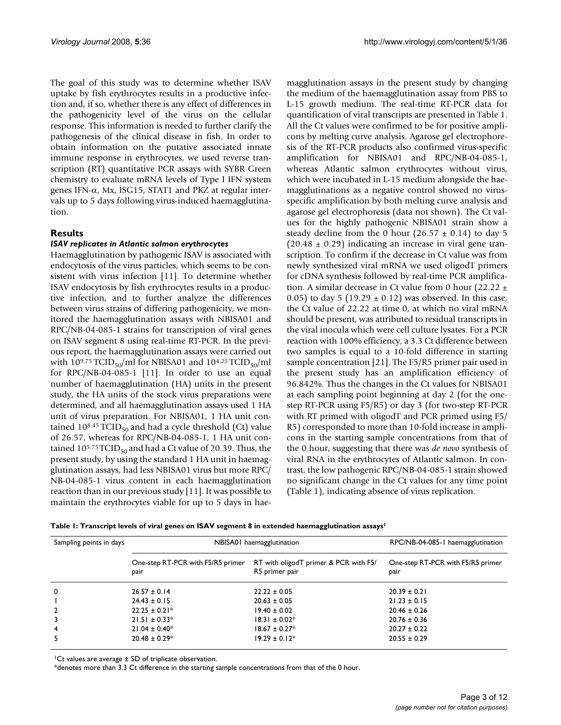The goal of this study was to determine whether ISAV uptake by fish erythrocytes results in a productive infection and, if so, whether there is any effect of differences in the pathogenicity level of the virus on the cellular response. This information is needed to further clarify the pathogenesis of the clinical disease in fish. In order to obtain information on the putative associated innate immune response in erythrocytes, we used reverse transcription (RT) quantitative PCR assays with SYBR Green chemistry to evaluate mRNA levels of Type I IFN system genes IFN-α, Mx, ISG15, STAT1 and PKZ at regular intervals up to 5 days following virus-induced haemagglutination.

# **Results**

# *ISAV replicates in Atlantic salmon erythrocytes*

Haemagglutination by pathogenic ISAV is associated with endocytosis of the virus particles, which seems to be consistent with virus infection [11]. To determine whether ISAV endocytosis by fish erythrocytes results in a productive infection, and to further analyze the differences between virus strains of differing pathogenicity, we monitored the haemagglutination assays with NBISA01 and RPC/NB-04-085-1 strains for transcription of viral genes on ISAV segment 8 using real-time RT-PCR. In the previous report, the haemagglutination assays were carried out with  $10^{9.75}$  TCID<sub>50</sub>/ml for NBISA01 and  $10^{4.25}$  TCID<sub>50</sub>/ml for RPC/NB-04-085-1 [11]. In order to use an equal number of haemagglutination (HA) units in the present study, the HA units of the stock virus preparations were determined, and all haemagglutination assays used 1 HA unit of virus preparation. For NBISA01, 1 HA unit contained  $10^{8.45}$  TCID<sub>50</sub> and had a cycle threshold (Ct) value of 26.57, whereas for RPC/NB-04-085-1, 1 HA unit contained  $10^{5.75}$  TCID<sub>50</sub> and had a Ct value of 20.39. Thus, the present study, by using the standard 1 HA unit in haemagglutination assays, had less NBISA01 virus but more RPC/ NB-04-085-1 virus content in each haemagglutination reaction than in our previous study [11]. It was possible to maintain the erythrocytes viable for up to 5 days in haemagglutination assays in the present study by changing the medium of the haemagglutination assay from PBS to L-15 growth medium. The real-time RT-PCR data for quantification of viral transcripts are presented in Table 1. All the Ct values were confirmed to be for positive amplicons by melting curve analysis. Agarose gel electrophoresis of the RT-PCR products also confirmed virus-specific amplification for NBISA01 and RPC/NB-04-085-1, whereas Atlantic salmon erythrocytes without virus, which were incubated in L-15 medium alongside the haemagglutinations as a negative control showed no virusspecific amplification by both melting curve analysis and agarose gel electrophoresis (data not shown). The Ct values for the highly pathogenic NBISA01 strain show a steady decline from the 0 hour (26.57  $\pm$  0.14) to day 5  $(20.48 \pm 0.29)$  indicating an increase in viral gene transcription. To confirm if the decrease in Ct value was from newly synthesized viral mRNA we used oligodT primers for cDNA synthesis followed by real-time PCR amplification. A similar decrease in Ct value from 0 hour (22.22  $\pm$ 0.05) to day 5 (19.29  $\pm$  0.12) was observed. In this case, the Ct value of 22.22 at time 0, at which no viral mRNA should be present, was attributed to residual transcripts in the viral inocula which were cell culture lysates. For a PCR reaction with 100% efficiency, a 3.3 Ct difference between two samples is equal to a 10-fold difference in starting sample concentration [21]. The F5/R5 primer pair used in the present study has an amplification efficiency of 96.842%. Thus the changes in the Ct values for NBISA01 at each sampling point beginning at day 2 (for the onestep RT-PCR using F5/R5) or day 3 (for two-step RT-PCR with RT primed with oligodT and PCR primed using F5/ R5) corresponded to more than 10-fold increase in amplicons in the starting sample concentrations from that of the 0 hour, suggesting that there was *de novo* synthesis of viral RNA in the erythrocytes of Atlantic salmon. In contrast, the low pathogenic RPC/NB-04-085-1 strain showed no significant change in the Ct values for any time point (Table 1), indicating absence of virus replication.

|  |  |  |  | Table 1: Transcript levels of viral genes on ISAV segment 8 in extended haemagglutination assays <sup>1</sup> |  |
|--|--|--|--|---------------------------------------------------------------------------------------------------------------|--|
|--|--|--|--|---------------------------------------------------------------------------------------------------------------|--|

| Sampling points in days | NBISA01 haemagglutination                 | RPC/NB-04-085-1 haemagglutination                       |                                           |
|-------------------------|-------------------------------------------|---------------------------------------------------------|-------------------------------------------|
|                         | One-step RT-PCR with F5/R5 primer<br>pair | RT with oligodT primer & PCR with F5/<br>R5 primer pair | One-step RT-PCR with F5/R5 primer<br>pair |
| $\mathbf 0$             | $26.57 \pm 0.14$                          | $22.22 \pm 0.05$                                        | $20.39 \pm 0.21$                          |
|                         | $24.43 \pm 0.15$                          | $20.63 \pm 0.05$                                        | $21.23 \pm 0.15$                          |
| $\overline{2}$          | $22.25 \pm 0.21*$                         | $19.40 \pm 0.02$                                        | $20.46 \pm 0.26$                          |
| 3                       | $21.51 \pm 0.33*$                         | $18.31 \pm 0.02$ *                                      | $20.76 \pm 0.36$                          |
| $\overline{4}$          | $21.04 \pm 0.40*$                         | $18.67 \pm 0.27$ *                                      | $20.27 \pm 0.22$                          |
| 5                       | $20.48 \pm 0.29$ *                        | $19.29 \pm 0.12^*$                                      | $20.55 \pm 0.29$                          |

 $^{\dagger}$ Ct values are average  $\pm$  SD of triplicate observation.

\*denotes more than 3.3 Ct difference in the starting sample concentrations from that of the 0 hour.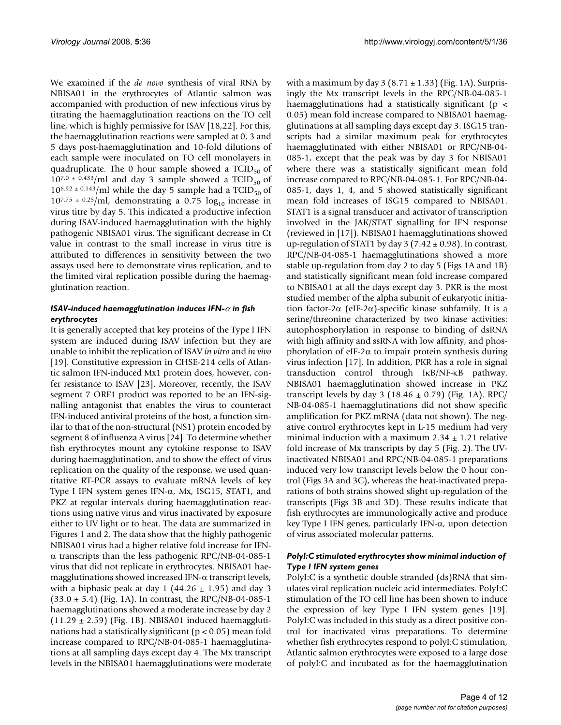We examined if the *de novo* synthesis of viral RNA by NBISA01 in the erythrocytes of Atlantic salmon was accompanied with production of new infectious virus by titrating the haemagglutination reactions on the TO cell line, which is highly permissive for ISAV [18,22]. For this, the haemagglutination reactions were sampled at 0, 3 and 5 days post-haemagglutination and 10-fold dilutions of each sample were inoculated on TO cell monolayers in quadruplicate. The 0 hour sample showed a  $TCID_{50}$  of  $10^{7.0 \pm 0.433}$ /ml and day 3 sample showed a TCID<sub>50</sub> of  $10^{6.92 \pm 0.143}$ /ml while the day 5 sample had a TCID<sub>50</sub> of  $10^{7.75 \pm 0.25}$ /ml, demonstrating a 0.75 log<sub>10</sub> increase in virus titre by day 5. This indicated a productive infection during ISAV-induced haemagglutination with the highly pathogenic NBISA01 virus. The significant decrease in Ct value in contrast to the small increase in virus titre is attributed to differences in sensitivity between the two assays used here to demonstrate virus replication, and to the limited viral replication possible during the haemagglutination reaction.

### *ISAV-induced haemagglutination induces IFN-*α *in fish erythrocytes*

It is generally accepted that key proteins of the Type I IFN system are induced during ISAV infection but they are unable to inhibit the replication of ISAV *in vitro* and *in vivo* [19]. Constitutive expression in CHSE-214 cells of Atlantic salmon IFN-induced Mx1 protein does, however, confer resistance to ISAV [23]. Moreover, recently, the ISAV segment 7 ORF1 product was reported to be an IFN-signalling antagonist that enables the virus to counteract IFN-induced antiviral proteins of the host, a function similar to that of the non-structural (NS1) protein encoded by segment 8 of influenza A virus [24]. To determine whether fish erythrocytes mount any cytokine response to ISAV during haemagglutination, and to show the effect of virus replication on the quality of the response, we used quantitative RT-PCR assays to evaluate mRNA levels of key Type I IFN system genes IFN-α, Mx, ISG15, STAT1, and PKZ at regular intervals during haemagglutination reactions using native virus and virus inactivated by exposure either to UV light or to heat. The data are summarized in Figures 1 and 2. The data show that the highly pathogenic NBISA01 virus had a higher relative fold increase for IFNα transcripts than the less pathogenic RPC/NB-04-085-1 virus that did not replicate in erythrocytes. NBISA01 haemagglutinations showed increased IFN- $\alpha$  transcript levels, with a biphasic peak at day 1 (44.26  $\pm$  1.95) and day 3  $(33.0 \pm 5.4)$  (Fig. 1A). In contrast, the RPC/NB-04-085-1 haemagglutinations showed a moderate increase by day 2  $(11.29 \pm 2.59)$  (Fig. 1B). NBISA01 induced haemagglutinations had a statistically significant ( $p < 0.05$ ) mean fold increase compared to RPC/NB-04-085-1 haemagglutinations at all sampling days except day 4. The Mx transcript levels in the NBISA01 haemagglutinations were moderate

with a maximum by day  $3(8.71 \pm 1.33)$  (Fig. 1A). Surprisingly the Mx transcript levels in the RPC/NB-04-085-1 haemagglutinations had a statistically significant ( $p <$ 0.05) mean fold increase compared to NBISA01 haemagglutinations at all sampling days except day 3. ISG15 transcripts had a similar maximum peak for erythrocytes haemagglutinated with either NBISA01 or RPC/NB-04- 085-1, except that the peak was by day 3 for NBISA01 where there was a statistically significant mean fold increase compared to RPC/NB-04-085-1. For RPC/NB-04- 085-1, days 1, 4, and 5 showed statistically significant mean fold increases of ISG15 compared to NBISA01. STAT1 is a signal transducer and activator of transcription involved in the JAK/STAT signalling for IFN response (reviewed in [17]). NBISA01 haemagglutinations showed up-regulation of STAT1 by day 3 (7.42  $\pm$  0.98). In contrast, RPC/NB-04-085-1 haemagglutinations showed a more stable up-regulation from day 2 to day 5 (Figs 1A and 1B) and statistically significant mean fold increase compared to NBISA01 at all the days except day 3. PKR is the most studied member of the alpha subunit of eukaryotic initiation factor-2 $\alpha$  (eIF-2 $\alpha$ )-specific kinase subfamily. It is a serine/threonine characterized by two kinase activities: autophosphorylation in response to binding of dsRNA with high affinity and ssRNA with low affinity, and phosphorylation of eIF-2α to impair protein synthesis during virus infection [17]. In addition, PKR has a role in signal transduction control through IκB/NF-κB pathway. NBISA01 haemagglutination showed increase in PKZ transcript levels by day 3 (18.46  $\pm$  0.79) (Fig. 1A). RPC/ NB-04-085-1 haemagglutinations did not show specific amplification for PKZ mRNA (data not shown). The negative control erythrocytes kept in L-15 medium had very minimal induction with a maximum  $2.34 \pm 1.21$  relative fold increase of Mx transcripts by day 5 (Fig. 2). The UVinactivated NBISA01 and RPC/NB-04-085-1 preparations induced very low transcript levels below the 0 hour control (Figs 3A and 3C), whereas the heat-inactivated preparations of both strains showed slight up-regulation of the transcripts (Figs 3B and 3D). These results indicate that fish erythrocytes are immunologically active and produce key Type I IFN genes, particularly IFN-α, upon detection of virus associated molecular patterns.

# *PolyI:C stimulated erythrocytes show minimal induction of Type I IFN system genes*

PolyI:C is a synthetic double stranded (ds)RNA that simulates viral replication nucleic acid intermediates. PolyI:C stimulation of the TO cell line has been shown to induce the expression of key Type I IFN system genes [19]. PolyI:C was included in this study as a direct positive control for inactivated virus preparations. To determine whether fish erythrocytes respond to polyI:C stimulation, Atlantic salmon erythrocytes were exposed to a large dose of polyI:C and incubated as for the haemagglutination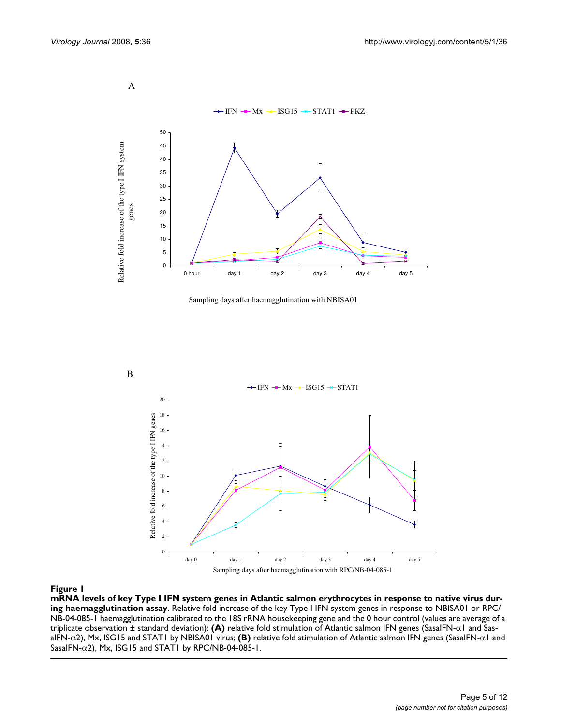A



Sampling days after haemagglutination with NBISA01



#### mRNA levels of key Type I IFN system genes in Atlantic salmon tion assay **Figure 1** erythrocytes in response to native virus during haemagglutina-

**mRNA levels of key Type I IFN system genes in Atlantic salmon erythrocytes in response to native virus during haemagglutination assay**. Relative fold increase of the key Type I IFN system genes in response to NBISA01 or RPC/ NB-04-085-1 haemagglutination calibrated to the 18S rRNA housekeeping gene and the 0 hour control (values are average of a triplicate observation ± standard deviation): **(A)** relative fold stimulation of Atlantic salmon IFN genes (SasaIFN-α1 and SasaIFN-α2), Mx, ISG15 and STAT1 by NBISA01 virus; **(B)** relative fold stimulation of Atlantic salmon IFN genes (SasaIFN-α1 and SasaIFN-α2), Mx, ISG15 and STAT1 by RPC/NB-04-085-1.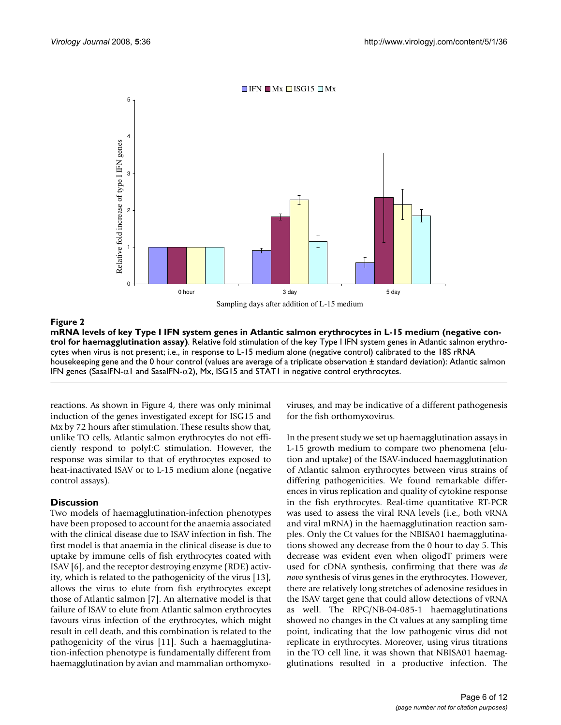

 $\Box$  IFN  $\Box$  Mx  $\Box$  ISG15  $\Box$  Mx

mana levels of key Type I in Atlantic sa tination assay) assays a tination assay in L-15 medium (negative control for haemagglu**mRNA levels of key Type I IFN system genes in Atlantic salmon erythrocytes in L-15 medium (negative control for haemagglutination assay)**. Relative fold stimulation of the key Type I IFN system genes in Atlantic salmon erythrocytes when virus is not present; i.e., in response to L-15 medium alone (negative control) calibrated to the 18S rRNA housekeeping gene and the 0 hour control (values are average of a triplicate observation ± standard deviation): Atlantic salmon IFN genes (SasaIFN- $α1$  and SasaIFN- $α2$ ), Mx, ISG15 and STAT1 in negative control erythrocytes.

reactions. As shown in Figure 4, there was only minimal induction of the genes investigated except for ISG15 and Mx by 72 hours after stimulation. These results show that, unlike TO cells, Atlantic salmon erythrocytes do not efficiently respond to polyI:C stimulation. However, the response was similar to that of erythrocytes exposed to heat-inactivated ISAV or to L-15 medium alone (negative control assays).

# **Discussion**

Two models of haemagglutination-infection phenotypes have been proposed to account for the anaemia associated with the clinical disease due to ISAV infection in fish. The first model is that anaemia in the clinical disease is due to uptake by immune cells of fish erythrocytes coated with ISAV [6], and the receptor destroying enzyme (RDE) activity, which is related to the pathogenicity of the virus [13], allows the virus to elute from fish erythrocytes except those of Atlantic salmon [7]. An alternative model is that failure of ISAV to elute from Atlantic salmon erythrocytes favours virus infection of the erythrocytes, which might result in cell death, and this combination is related to the pathogenicity of the virus [11]. Such a haemagglutination-infection phenotype is fundamentally different from haemagglutination by avian and mammalian orthomyxoviruses, and may be indicative of a different pathogenesis for the fish orthomyxovirus.

In the present study we set up haemagglutination assays in L-15 growth medium to compare two phenomena (elution and uptake) of the ISAV-induced haemagglutination of Atlantic salmon erythrocytes between virus strains of differing pathogenicities. We found remarkable differences in virus replication and quality of cytokine response in the fish erythrocytes. Real-time quantitative RT-PCR was used to assess the viral RNA levels (i.e., both vRNA and viral mRNA) in the haemagglutination reaction samples. Only the Ct values for the NBISA01 haemagglutinations showed any decrease from the 0 hour to day 5. This decrease was evident even when oligodT primers were used for cDNA synthesis, confirming that there was *de novo* synthesis of virus genes in the erythrocytes. However, there are relatively long stretches of adenosine residues in the ISAV target gene that could allow detections of vRNA as well. The RPC/NB-04-085-1 haemagglutinations showed no changes in the Ct values at any sampling time point, indicating that the low pathogenic virus did not replicate in erythrocytes. Moreover, using virus titrations in the TO cell line, it was shown that NBISA01 haemagglutinations resulted in a productive infection. The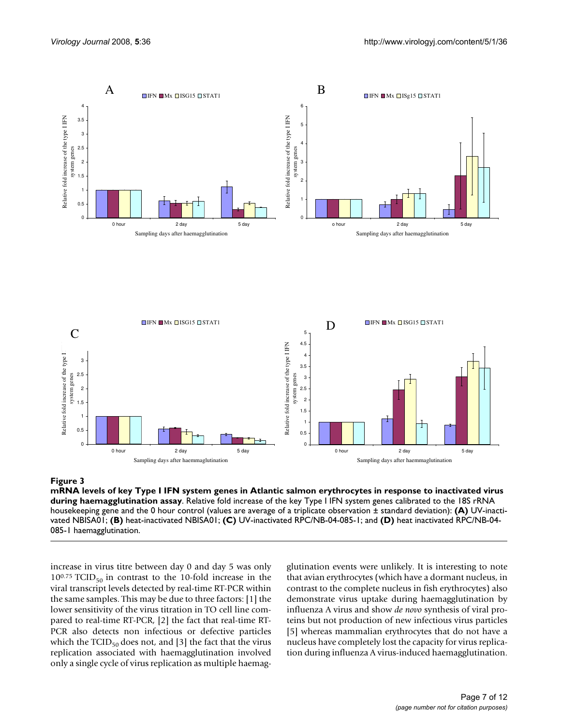

### mana levels of key Type I in Atlantic salmon assay assay assay in atlantic salmon erythrocytes in atlantic salmon erythrocytes in response to inactivate during haemag-

**mRNA levels of key Type I IFN system genes in Atlantic salmon erythrocytes in response to inactivated virus during haemagglutination assay**. Relative fold increase of the key Type I IFN system genes calibrated to the 18S rRNA housekeeping gene and the 0 hour control (values are average of a triplicate observation ± standard deviation): **(A)** UV-inactivated NBISA01; **(B)** heat-inactivated NBISA01; **(C)** UV-inactivated RPC/NB-04-085-1; and **(D)** heat inactivated RPC/NB-04- 085-1 haemagglutination.

increase in virus titre between day 0 and day 5 was only  $10^{0.75}$  TCID<sub>50</sub> in contrast to the 10-fold increase in the viral transcript levels detected by real-time RT-PCR within the same samples. This may be due to three factors: [1] the lower sensitivity of the virus titration in TO cell line compared to real-time RT-PCR, [2] the fact that real-time RT-PCR also detects non infectious or defective particles which the  $TCID_{50}$  does not, and [3] the fact that the virus replication associated with haemagglutination involved only a single cycle of virus replication as multiple haemagglutination events were unlikely. It is interesting to note that avian erythrocytes (which have a dormant nucleus, in contrast to the complete nucleus in fish erythrocytes) also demonstrate virus uptake during haemagglutination by influenza A virus and show *de novo* synthesis of viral proteins but not production of new infectious virus particles [5] whereas mammalian erythrocytes that do not have a nucleus have completely lost the capacity for virus replication during influenza A virus-induced haemagglutination.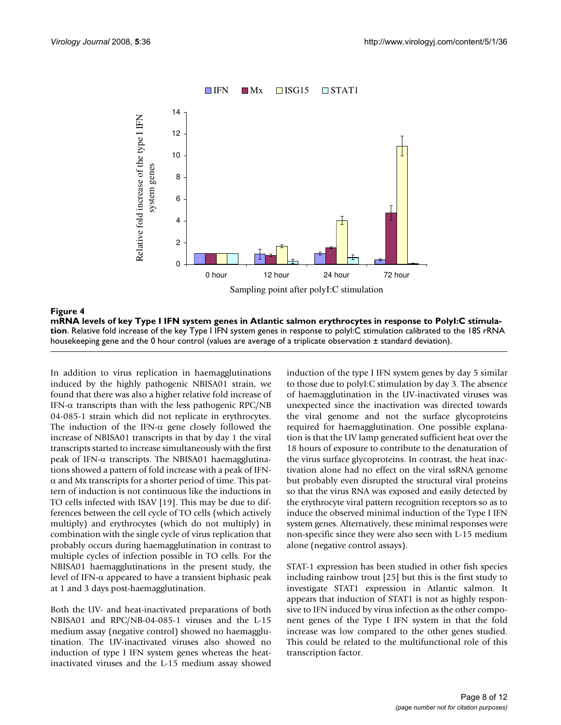

**mRNA levels of key Type I IFN system genes in Atlantic salmon erythrocytes in response to PolyI:C stimulation**. Relative fold increase of the key Type I IFN system genes in response to polyI:C stimulation calibrated to the 18S rRNA housekeeping gene and the 0 hour control (values are average of a triplicate observation ± standard deviation).

In addition to virus replication in haemagglutinations induced by the highly pathogenic NBISA01 strain, we found that there was also a higher relative fold increase of IFN- $\alpha$  transcripts than with the less pathogenic RPC/NB 04-085-1 strain which did not replicate in erythrocytes. The induction of the IFN- $\alpha$  gene closely followed the increase of NBISA01 transcripts in that by day 1 the viral transcripts started to increase simultaneously with the first peak of IFN- $α$  transcripts. The NBISA01 haemagglutinations showed a pattern of fold increase with a peak of IFN- $\alpha$  and Mx transcripts for a shorter period of time. This pattern of induction is not continuous like the inductions in TO cells infected with ISAV [19]. This may be due to differences between the cell cycle of TO cells (which actively multiply) and erythrocytes (which do not multiply) in combination with the single cycle of virus replication that probably occurs during haemagglutination in contrast to multiple cycles of infection possible in TO cells. For the NBISA01 haemagglutinations in the present study, the level of IFN-α appeared to have a transient biphasic peak at 1 and 3 days post-haemagglutination.

Both the UV- and heat-inactivated preparations of both NBISA01 and RPC/NB-04-085-1 viruses and the L-15 medium assay (negative control) showed no haemagglutination. The UV-inactivated viruses also showed no induction of type I IFN system genes whereas the heatinactivated viruses and the L-15 medium assay showed

induction of the type I IFN system genes by day 5 similar to those due to polyI:C stimulation by day 3. The absence of haemagglutination in the UV-inactivated viruses was unexpected since the inactivation was directed towards the viral genome and not the surface glycoproteins required for haemagglutination. One possible explanation is that the UV lamp generated sufficient heat over the 18 hours of exposure to contribute to the denaturation of the virus surface glycoproteins. In contrast, the heat inactivation alone had no effect on the viral ssRNA genome but probably even disrupted the structural viral proteins so that the virus RNA was exposed and easily detected by the erythrocyte viral pattern recognition receptors so as to induce the observed minimal induction of the Type I IFN system genes. Alternatively, these minimal responses were non-specific since they were also seen with L-15 medium alone (negative control assays).

STAT-1 expression has been studied in other fish species including rainbow trout [25] but this is the first study to investigate STAT1 expression in Atlantic salmon. It appears that induction of STAT1 is not as highly responsive to IFN induced by virus infection as the other component genes of the Type I IFN system in that the fold increase was low compared to the other genes studied. This could be related to the multifunctional role of this transcription factor.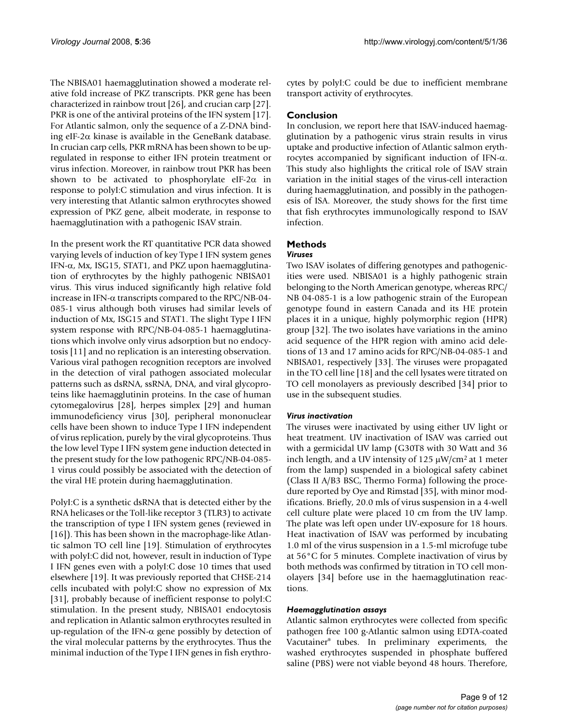The NBISA01 haemagglutination showed a moderate relative fold increase of PKZ transcripts. PKR gene has been characterized in rainbow trout [26], and crucian carp [27]. PKR is one of the antiviral proteins of the IFN system [17]. For Atlantic salmon, only the sequence of a Z-DNA binding eIF-2α kinase is available in the GeneBank database. In crucian carp cells, PKR mRNA has been shown to be upregulated in response to either IFN protein treatment or virus infection. Moreover, in rainbow trout PKR has been shown to be activated to phosphorylate eIF-2 $\alpha$  in response to polyI:C stimulation and virus infection. It is very interesting that Atlantic salmon erythrocytes showed expression of PKZ gene, albeit moderate, in response to haemagglutination with a pathogenic ISAV strain.

In the present work the RT quantitative PCR data showed varying levels of induction of key Type I IFN system genes IFN-α, Mx, ISG15, STAT1, and PKZ upon haemagglutination of erythrocytes by the highly pathogenic NBISA01 virus. This virus induced significantly high relative fold increase in IFN- $\alpha$  transcripts compared to the RPC/NB-04-085-1 virus although both viruses had similar levels of induction of Mx, ISG15 and STAT1. The slight Type I IFN system response with RPC/NB-04-085-1 haemagglutinations which involve only virus adsorption but no endocytosis [11] and no replication is an interesting observation. Various viral pathogen recognition receptors are involved in the detection of viral pathogen associated molecular patterns such as dsRNA, ssRNA, DNA, and viral glycoproteins like haemagglutinin proteins. In the case of human cytomegalovirus [28], herpes simplex [29] and human immunodeficiency virus [30], peripheral mononuclear cells have been shown to induce Type I IFN independent of virus replication, purely by the viral glycoproteins. Thus the low level Type I IFN system gene induction detected in the present study for the low pathogenic RPC/NB-04-085- 1 virus could possibly be associated with the detection of the viral HE protein during haemagglutination.

PolyI:C is a synthetic dsRNA that is detected either by the RNA helicases or the Toll-like receptor 3 (TLR3) to activate the transcription of type I IFN system genes (reviewed in [16]). This has been shown in the macrophage-like Atlantic salmon TO cell line [19]. Stimulation of erythrocytes with polyI:C did not, however, result in induction of Type I IFN genes even with a polyI:C dose 10 times that used elsewhere [19]. It was previously reported that CHSE-214 cells incubated with polyI:C show no expression of Mx [31], probably because of inefficient response to polyI:C stimulation. In the present study, NBISA01 endocytosis and replication in Atlantic salmon erythrocytes resulted in up-regulation of the IFN-α gene possibly by detection of the viral molecular patterns by the erythrocytes. Thus the minimal induction of the Type I IFN genes in fish erythrocytes by polyI:C could be due to inefficient membrane transport activity of erythrocytes.

# **Conclusion**

In conclusion, we report here that ISAV-induced haemagglutination by a pathogenic virus strain results in virus uptake and productive infection of Atlantic salmon erythrocytes accompanied by significant induction of IFN-α. This study also highlights the critical role of ISAV strain variation in the initial stages of the virus-cell interaction during haemagglutination, and possibly in the pathogenesis of ISA. Moreover, the study shows for the first time that fish erythrocytes immunologically respond to ISAV infection.

# **Methods**

# *Viruses*

Two ISAV isolates of differing genotypes and pathogenicities were used. NBISA01 is a highly pathogenic strain belonging to the North American genotype, whereas RPC/ NB 04-085-1 is a low pathogenic strain of the European genotype found in eastern Canada and its HE protein places it in a unique, highly polymorphic region (HPR) group [32]. The two isolates have variations in the amino acid sequence of the HPR region with amino acid deletions of 13 and 17 amino acids for RPC/NB-04-085-1 and NBISA01, respectively [33]. The viruses were propagated in the TO cell line [18] and the cell lysates were titrated on TO cell monolayers as previously described [34] prior to use in the subsequent studies.

# *Virus inactivation*

The viruses were inactivated by using either UV light or heat treatment. UV inactivation of ISAV was carried out with a germicidal UV lamp (G30T8 with 30 Watt and 36 inch length, and a UV intensity of  $125 \mu W/cm^2$  at 1 meter from the lamp) suspended in a biological safety cabinet (Class II A/B3 BSC, Thermo Forma) following the procedure reported by Oye and Rimstad [35], with minor modifications. Briefly, 20.0 mls of virus suspension in a 4-well cell culture plate were placed 10 cm from the UV lamp. The plate was left open under UV-exposure for 18 hours. Heat inactivation of ISAV was performed by incubating 1.0 ml of the virus suspension in a 1.5-ml microfuge tube at 56°C for 5 minutes. Complete inactivation of virus by both methods was confirmed by titration in TO cell monolayers [34] before use in the haemagglutination reactions.

### *Haemagglutination assays*

Atlantic salmon erythrocytes were collected from specific pathogen free 100 g-Atlantic salmon using EDTA-coated Vacutainer® tubes. In preliminary experiments, the washed erythrocytes suspended in phosphate buffered saline (PBS) were not viable beyond 48 hours. Therefore,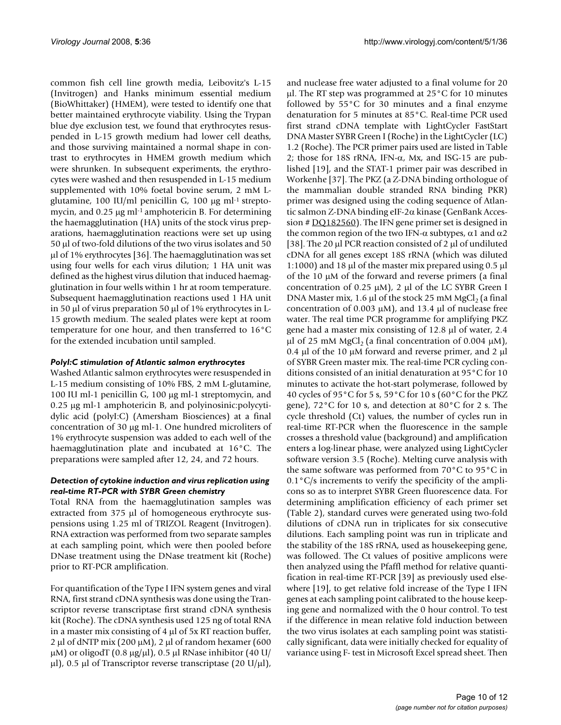common fish cell line growth media, Leibovitz's L-15 (Invitrogen) and Hanks minimum essential medium (BioWhittaker) (HMEM), were tested to identify one that better maintained erythrocyte viability. Using the Trypan blue dye exclusion test, we found that erythrocytes resuspended in L-15 growth medium had lower cell deaths, and those surviving maintained a normal shape in contrast to erythrocytes in HMEM growth medium which were shrunken. In subsequent experiments, the erythrocytes were washed and then resuspended in L-15 medium supplemented with 10% foetal bovine serum, 2 mM Lglutamine, 100 IU/ml penicillin G, 100 μg ml<sup>-1</sup> streptomycin, and 0.25 μg ml<sup>-1</sup> amphotericin B. For determining the haemagglutination (HA) units of the stock virus preparations, haemagglutination reactions were set up using 50 μl of two-fold dilutions of the two virus isolates and 50 μl of 1% erythrocytes [36]. The haemagglutination was set using four wells for each virus dilution; 1 HA unit was defined as the highest virus dilution that induced haemagglutination in four wells within 1 hr at room temperature. Subsequent haemagglutination reactions used 1 HA unit in 50 μl of virus preparation 50 μl of 1% erythrocytes in L-15 growth medium. The sealed plates were kept at room temperature for one hour, and then transferred to 16°C for the extended incubation until sampled.

### *PolyI:C stimulation of Atlantic salmon erythrocytes*

Washed Atlantic salmon erythrocytes were resuspended in L-15 medium consisting of 10% FBS, 2 mM L-glutamine, 100 IU ml-1 penicillin G, 100 μg ml-1 streptomycin, and 0.25 μg ml-1 amphotericin B, and polyinosinic:polycytidylic acid (polyI:C) (Amersham Biosciences) at a final concentration of 30 μg ml-1. One hundred microliters of 1% erythrocyte suspension was added to each well of the haemagglutination plate and incubated at 16°C. The preparations were sampled after 12, 24, and 72 hours.

#### *Detection of cytokine induction and virus replication using real-time RT-PCR with SYBR Green chemistry*

Total RNA from the haemagglutination samples was extracted from 375 μl of homogeneous erythrocyte suspensions using 1.25 ml of TRIZOL Reagent (Invitrogen). RNA extraction was performed from two separate samples at each sampling point, which were then pooled before DNase treatment using the DNase treatment kit (Roche) prior to RT-PCR amplification.

For quantification of the Type I IFN system genes and viral RNA, first strand cDNA synthesis was done using the Transcriptor reverse transcriptase first strand cDNA synthesis kit (Roche). The cDNA synthesis used 125 ng of total RNA in a master mix consisting of 4 μl of 5x RT reaction buffer, 2 μl of dNTP mix (200 μM), 2 μl of random hexamer (600 μM) or oligodT (0.8 μg/μl), 0.5 μl RNase inhibitor (40 U/ μl), 0.5 μl of Transcriptor reverse transcriptase (20 U/μl),

and nuclease free water adjusted to a final volume for 20 μl. The RT step was programmed at 25°C for 10 minutes followed by 55°C for 30 minutes and a final enzyme denaturation for 5 minutes at 85°C. Real-time PCR used first strand cDNA template with LightCycler FastStart DNA Master SYBR Green I (Roche) in the LightCycler (LC) 1.2 (Roche). The PCR primer pairs used are listed in Table 2; those for 18S rRNA, IFN- $\alpha$ , Mx, and ISG-15 are published [19], and the STAT-1 primer pair was described in Workenhe [37]. The PKZ (a Z-DNA binding orthologue of the mammalian double stranded RNA binding PKR) primer was designed using the coding sequence of Atlantic salmon Z-DNA binding eIF-2α kinase (GenBank Accession # [DQ182560\)](http://www.ncbi.nih.gov/entrez/query.fcgi?db=Nucleotide&cmd=search&term=DQ182560). The IFN gene primer set is designed in the common region of the two IFN-α subtypes, α1 and  $α2$ [38]. The 20 μl PCR reaction consisted of 2 μl of undiluted cDNA for all genes except 18S rRNA (which was diluted 1:1000) and 18 μl of the master mix prepared using 0.5 μl of the 10 μM of the forward and reverse primers (a final concentration of 0.25 μM), 2 μl of the LC SYBR Green I DNA Master mix, 1.6 μl of the stock 25 mM MgCl<sub>2</sub> (a final concentration of 0.003 μM), and 13.4 μl of nuclease free water. The real time PCR programme for amplifying PKZ gene had a master mix consisting of 12.8 μl of water, 2.4 μl of 25 mM MgCl<sub>2</sub> (a final concentration of 0.004 μM), 0.4 μl of the 10 μM forward and reverse primer, and 2 μl of SYBR Green master mix. The real-time PCR cycling conditions consisted of an initial denaturation at 95°C for 10 minutes to activate the hot-start polymerase, followed by 40 cycles of 95°C for 5 s, 59°C for 10 s (60°C for the PKZ gene), 72°C for 10 s, and detection at 80°C for 2 s. The cycle threshold (Ct) values, the number of cycles run in real-time RT-PCR when the fluorescence in the sample crosses a threshold value (background) and amplification enters a log-linear phase, were analyzed using LightCycler software version 3.5 (Roche). Melting curve analysis with the same software was performed from 70°C to 95°C in  $0.1\degree$ C/s increments to verify the specificity of the amplicons so as to interpret SYBR Green fluorescence data. For determining amplification efficiency of each primer set (Table 2), standard curves were generated using two-fold dilutions of cDNA run in triplicates for six consecutive dilutions. Each sampling point was run in triplicate and the stability of the 18S rRNA, used as housekeeping gene, was followed. The Ct values of positive amplicons were then analyzed using the Pfaffl method for relative quantification in real-time RT-PCR [39] as previously used elsewhere [19], to get relative fold increase of the Type I IFN genes at each sampling point calibrated to the house keeping gene and normalized with the 0 hour control. To test if the difference in mean relative fold induction between the two virus isolates at each sampling point was statistically significant, data were initially checked for equality of variance using F- test in Microsoft Excel spread sheet. Then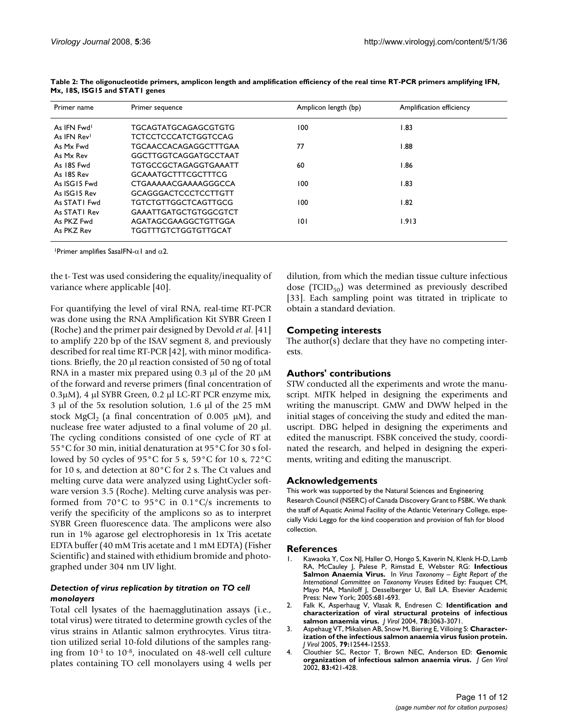| Primer name  | Primer sequence              | Amplicon length (bp) | Amplification efficiency |
|--------------|------------------------------|----------------------|--------------------------|
| As IFN Fwd   | TGCAGTATGCAGAGCGTGTG         | 100                  | I.83                     |
| As IFN Rev!  | <b>TCTCCTCCCATCTGGTCCAG</b>  |                      |                          |
| As Mx Fwd    | <b>TGCAACCACAGAGGCTTTGAA</b> | 77                   | 1.88                     |
| As Mx Rev    | GGCTTGGTCAGGATGCCTAAT        |                      |                          |
| As 18S Fwd   | TGTGCCGCTAGAGGTGAAATT        | 60                   | I.86                     |
| As 18S Rev   | <b>GCAAATGCTTTCGCTTTCG</b>   |                      |                          |
| As ISG15 Fwd | CTGAAAAACGAAAAGGGCCA         | 100                  | I.83                     |
| As ISG15 Rev | <b>GCAGGGACTCCCTCCTTGTT</b>  |                      |                          |
| As STATI Fwd | <b>TGTCTGTTGGCTCAGTTGCG</b>  | 100                  | I.82                     |
| As STATI Rev | <b>GAAATTGATGCTGTGGCGTCT</b> |                      |                          |
| As PKZ Fwd   | AGATAGCGAAGGCTGTTGGA         | 101                  | 1.913                    |
| As PKZ Rev   | <b>TGGTTTGTCTGGTGTTGCAT</b>  |                      |                          |

**Table 2: The oligonucleotide primers, amplicon length and amplification efficiency of the real time RT-PCR primers amplifying IFN, Mx, 18S, ISG15 and STAT1 genes**

<sup>1</sup>Primer amplifies SasaIFN- $α1$  and  $α2$ .

the t- Test was used considering the equality/inequality of variance where applicable [40].

For quantifying the level of viral RNA, real-time RT-PCR was done using the RNA Amplification Kit SYBR Green I (Roche) and the primer pair designed by Devold *et al*. [41] to amplify 220 bp of the ISAV segment 8, and previously described for real time RT-PCR [42], with minor modifications. Briefly, the 20 μl reaction consisted of 50 ng of total RNA in a master mix prepared using 0.3 μl of the 20 μM of the forward and reverse primers (final concentration of 0.3μM), 4 μl SYBR Green, 0.2 μl LC-RT PCR enzyme mix, 3 μl of the 5x resolution solution, 1.6 μl of the 25 mM stock MgCl<sub>2</sub> (a final concentration of 0.005  $\mu$ M), and nuclease free water adjusted to a final volume of 20 μl. The cycling conditions consisted of one cycle of RT at 55°C for 30 min, initial denaturation at 95°C for 30 s followed by 50 cycles of 95°C for 5 s, 59°C for 10 s, 72°C for 10 s, and detection at 80°C for 2 s. The Ct values and melting curve data were analyzed using LightCycler software version 3.5 (Roche). Melting curve analysis was performed from  $70^{\circ}$ C to  $95^{\circ}$ C in  $0.1^{\circ}$ C/s increments to verify the specificity of the amplicons so as to interpret SYBR Green fluorescence data. The amplicons were also run in 1% agarose gel electrophoresis in 1x Tris acetate EDTA buffer (40 mM Tris acetate and 1 mM EDTA) (Fisher Scientific) and stained with ethidium bromide and photographed under 304 nm UV light.

# *Detection of virus replication by titration on TO cell monolayers*

Total cell lysates of the haemagglutination assays (i.e., total virus) were titrated to determine growth cycles of the virus strains in Atlantic salmon erythrocytes. Virus titration utilized serial 10-fold dilutions of the samples ranging from 10-1 to 10-8, inoculated on 48-well cell culture plates containing TO cell monolayers using 4 wells per

dilution, from which the median tissue culture infectious dose (TCID $_{50}$ ) was determined as previously described [33]. Each sampling point was titrated in triplicate to obtain a standard deviation.

# **Competing interests**

The author( $\overline{s}$ ) declare that they have no competing interests.

# **Authors' contributions**

STW conducted all the experiments and wrote the manuscript. MJTK helped in designing the experiments and writing the manuscript. GMW and DWW helped in the initial stages of conceiving the study and edited the manuscript. DBG helped in designing the experiments and edited the manuscript. FSBK conceived the study, coordinated the research, and helped in designing the experiments, writing and editing the manuscript.

### **Acknowledgements**

This work was supported by the Natural Sciences and Engineering Research Council (NSERC) of Canada Discovery Grant to FSBK. We thank the staff of Aquatic Animal Facility of the Atlantic Veterinary College, especially Vicki Leggo for the kind cooperation and provision of fish for blood collection.

### **References**

- Kawaoka Y, Cox NJ, Haller O, Hongo S, Kaverin N, Klenk H-D, Lamb RA, McCauley J, Palese P, Rimstad E, Webster RG: **Infectious Salmon Anaemia Virus.** In *Virus Taxonomy – Eight Report of the International Committee on Taxonomy Viruses* Edited by: Fauquet CM, Mayo MA, Maniloff J, Desselberger U, Ball LA. Elsevier Academic Press: New York; 2005:681-693.
- 2. Falk K, Asperhaug V, Vlasak R, Endresen C: **[Identification and](http://www.ncbi.nlm.nih.gov/entrez/query.fcgi?cmd=Retrieve&db=PubMed&dopt=Abstract&list_uids=14990725) [characterization of viral structural proteins of infectious](http://www.ncbi.nlm.nih.gov/entrez/query.fcgi?cmd=Retrieve&db=PubMed&dopt=Abstract&list_uids=14990725) [salmon anaemia virus.](http://www.ncbi.nlm.nih.gov/entrez/query.fcgi?cmd=Retrieve&db=PubMed&dopt=Abstract&list_uids=14990725)** *J Virol* 2004, **78:**3063-3071.
- 3. Aspehaug VT, Mikalsen AB, Snow M, Biering E, Villoing S: **[Character](http://www.ncbi.nlm.nih.gov/entrez/query.fcgi?cmd=Retrieve&db=PubMed&dopt=Abstract&list_uids=16160182)[ization of the infectious salmon anaemia virus fusion protein.](http://www.ncbi.nlm.nih.gov/entrez/query.fcgi?cmd=Retrieve&db=PubMed&dopt=Abstract&list_uids=16160182)** *J Virol* 2005, **79:**12544-12553.
- 4. Clouthier SC, Rector T, Brown NEC, Anderson ED: **[Genomic](http://www.ncbi.nlm.nih.gov/entrez/query.fcgi?cmd=Retrieve&db=PubMed&dopt=Abstract&list_uids=11807235) [organization of infectious salmon anaemia virus.](http://www.ncbi.nlm.nih.gov/entrez/query.fcgi?cmd=Retrieve&db=PubMed&dopt=Abstract&list_uids=11807235)** *J Gen Virol* 2002, **83:**421-428.